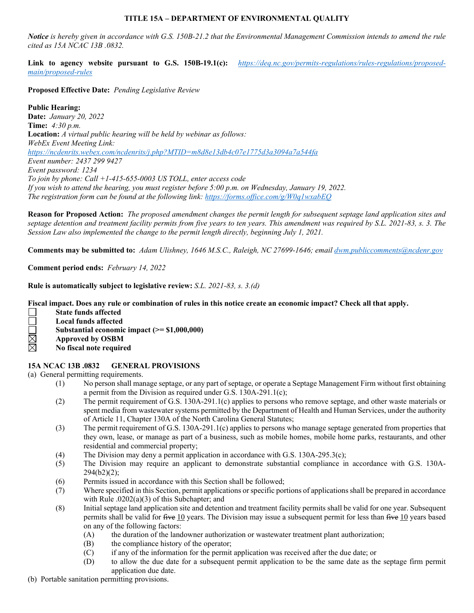## **TITLE 15A – DEPARTMENT OF ENVIRONMENTAL QUALITY**

*Notice is hereby given in accordance with G.S. 150B-21.2 that the Environmental Management Commission intends to amend the rule cited as 15A NCAC 13B .0832.*

**Link to agency website pursuant to G.S. 150B-19.1(c):** *[https://deq.nc.gov/permits-regulations/rules-regulations/proposed](https://deq.nc.gov/permits-regulations/rules-regulations/proposed-main/proposed-rules)[main/proposed-rules](https://deq.nc.gov/permits-regulations/rules-regulations/proposed-main/proposed-rules)*

**Proposed Effective Date:** *Pending Legislative Review*

**Public Hearing: Date:** *January 20, 2022* **Time:** *4:30 p.m.* **Location:** *A virtual public hearing will be held by webinar as follows: WebEx Event Meeting Link: <https://ncdenrits.webex.com/ncdenrits/j.php?MTID=m8d8e13db4c07e1775d3a3094a7a544fa> Event number: 2437 299 9427 Event password: 1234 To join by phone: Call +1-415-655-0003 US TOLL, enter access code If you wish to attend the hearing, you must register before 5:00 p.m. on Wednesday, January 19, 2022. The registration form can be found at the following link:<https://forms.office.com/g/W0q1wxabEQ>*

**Reason for Proposed Action:** *The proposed amendment changes the permit length for subsequent septage land application sites and septage detention and treatment facility permits from five years to ten years. This amendment was required by S.L. 2021-83, s. 3. The Session Law also implemented the change to the permit length directly, beginning July 1, 2021.*

**Comments may be submitted to:** *Adam Ulishney, 1646 M.S.C., Raleigh, NC 27699-1646; email [dwm.publiccomments@ncdenr.gov](mailto:dwm.publiccomments@ncdenr.gov)*

**Comment period ends:** *February 14, 2022*

**Rule is automatically subject to legislative review:** *S.L. 2021-83, s. 3.(d)*

**Fiscal impact. Does any rule or combination of rules in this notice create an economic impact? Check all that apply.**

- **State funds affected**
- $\Box$ **Local funds affected**
- **Substantial economic impact (>= \$1,000,000)**
- **Approved by OSBM**
- <u>M</u> **No fiscal note required**

## **15A NCAC 13B .0832 GENERAL PROVISIONS**

## (a) General permitting requirements.

- (1) No person shall manage septage, or any part of septage, or operate a Septage Management Firm without first obtaining a permit from the Division as required under G.S. 130A-291.1(c);
- (2) The permit requirement of G.S. 130A-291.1(c) applies to persons who remove septage, and other waste materials or spent media from wastewater systems permitted by the Department of Health and Human Services, under the authority of Article 11, Chapter 130A of the North Carolina General Statutes;
- (3) The permit requirement of G.S. 130A-291.1(c) applies to persons who manage septage generated from properties that they own, lease, or manage as part of a business, such as mobile homes, mobile home parks, restaurants, and other residential and commercial property;
- (4) The Division may deny a permit application in accordance with G.S. 130A-295.3(c);
- (5) The Division may require an applicant to demonstrate substantial compliance in accordance with G.S. 130A- $294(b2)(2)$ ;
- (6) Permits issued in accordance with this Section shall be followed;
- (7) Where specified in this Section, permit applications or specific portions of applications shall be prepared in accordance with Rule .0202(a)(3) of this Subchapter; and
- (8) Initial septage land application site and detention and treatment facility permits shall be valid for one year. Subsequent permits shall be valid for five 10 years. The Division may issue a subsequent permit for less than five 10 years based on any of the following factors:
	- (A) the duration of the landowner authorization or wastewater treatment plant authorization;
	- (B) the compliance history of the operator;
	- (C) if any of the information for the permit application was received after the due date; or
	- (D) to allow the due date for a subsequent permit application to be the same date as the septage firm permit application due date.
- (b) Portable sanitation permitting provisions.